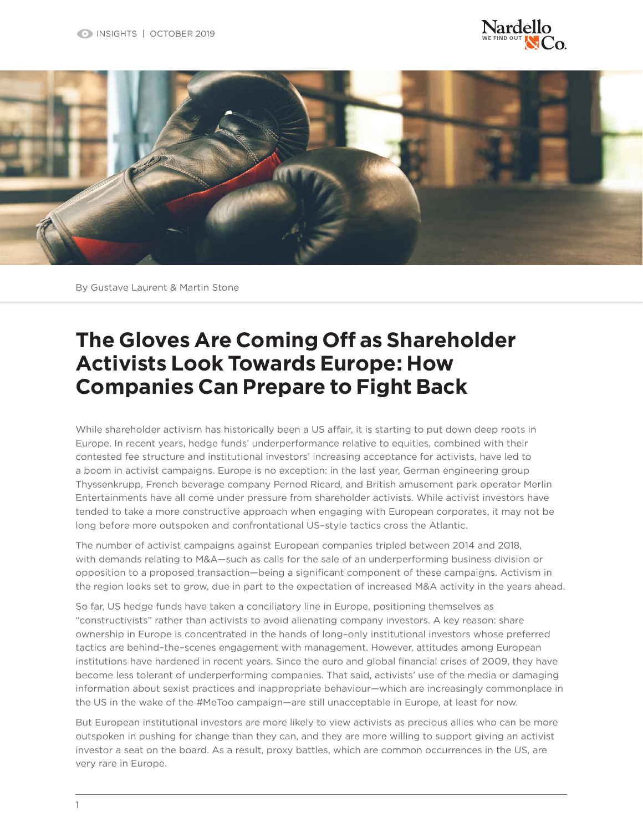



By Gustave Laurent & Martin Stone

## **The Gloves Are Coming Off as Shareholder Activists Look Towards Europe: How Companies Can Prepare to Fight Back**

While shareholder activism has historically been a US affair, it is starting to put down deep roots in Europe. In recent years, hedge funds' underperformance relative to equities, combined with their contested fee structure and institutional investors' increasing acceptance for activists, have led to a boom in activist campaigns. Europe is no exception: in the last year, German engineering group Thyssenkrupp, French beverage company Pernod Ricard, and British amusement park operator Merlin Entertainments have all come under pressure from shareholder activists. While activist investors have tended to take a more constructive approach when engaging with European corporates, it may not be long before more outspoken and confrontational US–style tactics cross the Atlantic.

The number of activist campaigns against European companies tripled between 2014 and 2018, with demands relating to M&A—such as calls for the sale of an underperforming business division or opposition to a proposed transaction—being a significant component of these campaigns. Activism in the region looks set to grow, due in part to the expectation of increased M&A activity in the years ahead.

So far, US hedge funds have taken a conciliatory line in Europe, positioning themselves as "constructivists" rather than activists to avoid alienating company investors. A key reason: share ownership in Europe is concentrated in the hands of long–only institutional investors whose preferred tactics are behind–the–scenes engagement with management. However, attitudes among European institutions have hardened in recent years. Since the euro and global financial crises of 2009, they have become less tolerant of underperforming companies. That said, activists' use of the media or damaging information about sexist practices and inappropriate behaviour—which are increasingly commonplace in the US in the wake of the #MeToo campaign—are still unacceptable in Europe, at least for now.

But European institutional investors are more likely to view activists as precious allies who can be more outspoken in pushing for change than they can, and they are more willing to support giving an activist investor a seat on the board. As a result, proxy battles, which are common occurrences in the US, are very rare in Europe.